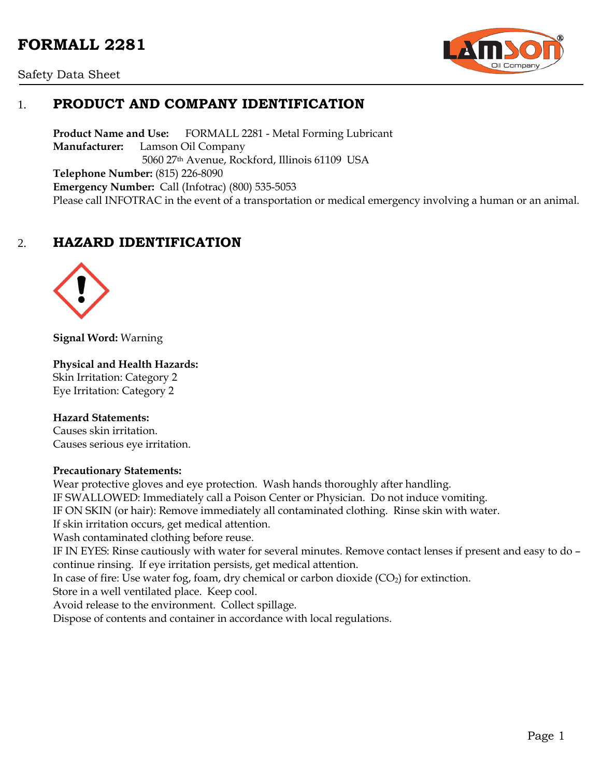# **FORMALL 2281**





# 1. **PRODUCT AND COMPANY IDENTIFICATION**

**Product Name and Use:** FORMALL 2281 - Metal Forming Lubricant **Manufacturer:** Lamson Oil Company 5060 27th Avenue, Rockford, Illinois 61109 USA **Telephone Number:** (815) 226-8090 **Emergency Number:** Call (Infotrac) (800) 535-5053 Please call INFOTRAC in the event of a transportation or medical emergency involving a human or an animal.

# 2. **HAZARD IDENTIFICATION**



**Signal Word:** Warning

#### **Physical and Health Hazards:**

Skin Irritation: Category 2 Eye Irritation: Category 2

#### **Hazard Statements:**

Causes skin irritation. Causes serious eye irritation.

#### **Precautionary Statements:**

Wear protective gloves and eye protection. Wash hands thoroughly after handling. IF SWALLOWED: Immediately call a Poison Center or Physician. Do not induce vomiting. IF ON SKIN (or hair): Remove immediately all contaminated clothing. Rinse skin with water. If skin irritation occurs, get medical attention. Wash contaminated clothing before reuse. IF IN EYES: Rinse cautiously with water for several minutes. Remove contact lenses if present and easy to do – continue rinsing. If eye irritation persists, get medical attention. In case of fire: Use water fog, foam, dry chemical or carbon dioxide  $(CO<sub>2</sub>)$  for extinction. Store in a well ventilated place. Keep cool. Avoid release to the environment. Collect spillage. Dispose of contents and container in accordance with local regulations.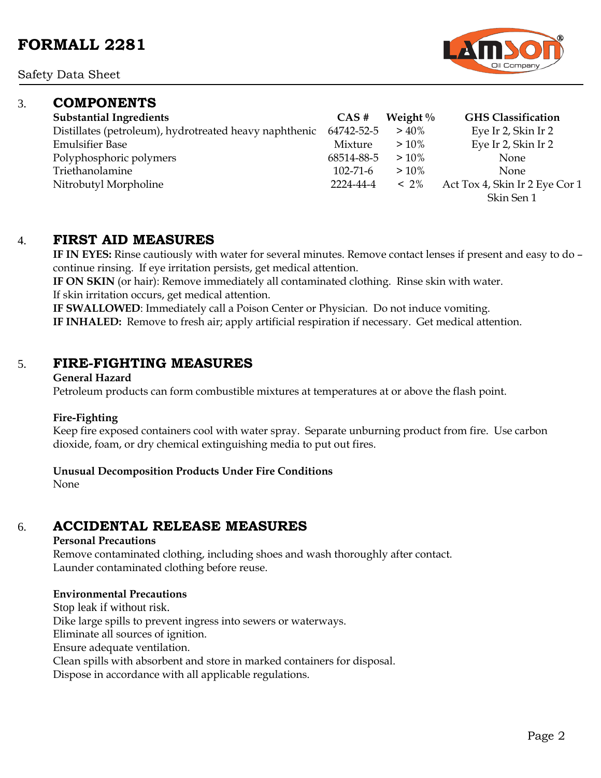Safety Data Sheet

## 3. **COMPONENTS**

| <b>Substantial Ingredients</b>                         | $CAS \#$       | Weight $\%$ | <b>GHS</b> Classification      |
|--------------------------------------------------------|----------------|-------------|--------------------------------|
| Distillates (petroleum), hydrotreated heavy naphthenic | 64742-52-5     | $> 40\%$    | Eye Ir 2, Skin Ir 2            |
| <b>Emulsifier Base</b>                                 | Mixture        | $>10\%$     | Eye Ir 2, Skin Ir 2            |
| Polyphosphoric polymers                                | 68514-88-5     | $>10\%$     | None                           |
| Triethanolamine                                        | $102 - 71 - 6$ | $>10\%$     | <b>None</b>                    |
| Nitrobutyl Morpholine                                  | 2224-44-4      | $~12\%$     | Act Tox 4, Skin Ir 2 Eye Cor 1 |
|                                                        |                |             | Skin Sen 1                     |

## 4. **FIRST AID MEASURES**

**IF IN EYES:** Rinse cautiously with water for several minutes. Remove contact lenses if present and easy to do – continue rinsing. If eye irritation persists, get medical attention.

**IF ON SKIN** (or hair): Remove immediately all contaminated clothing. Rinse skin with water. If skin irritation occurs, get medical attention.

**IF SWALLOWED**: Immediately call a Poison Center or Physician. Do not induce vomiting. **IF INHALED:** Remove to fresh air; apply artificial respiration if necessary. Get medical attention.

## 5. **FIRE-FIGHTING MEASURES**

#### **General Hazard**

Petroleum products can form combustible mixtures at temperatures at or above the flash point.

### **Fire-Fighting**

Keep fire exposed containers cool with water spray. Separate unburning product from fire. Use carbon dioxide, foam, or dry chemical extinguishing media to put out fires.

### **Unusual Decomposition Products Under Fire Conditions**

None

## 6. **ACCIDENTAL RELEASE MEASURES**

#### **Personal Precautions**

Remove contaminated clothing, including shoes and wash thoroughly after contact. Launder contaminated clothing before reuse.

### **Environmental Precautions**

Stop leak if without risk. Dike large spills to prevent ingress into sewers or waterways. Eliminate all sources of ignition. Ensure adequate ventilation. Clean spills with absorbent and store in marked containers for disposal. Dispose in accordance with all applicable regulations.

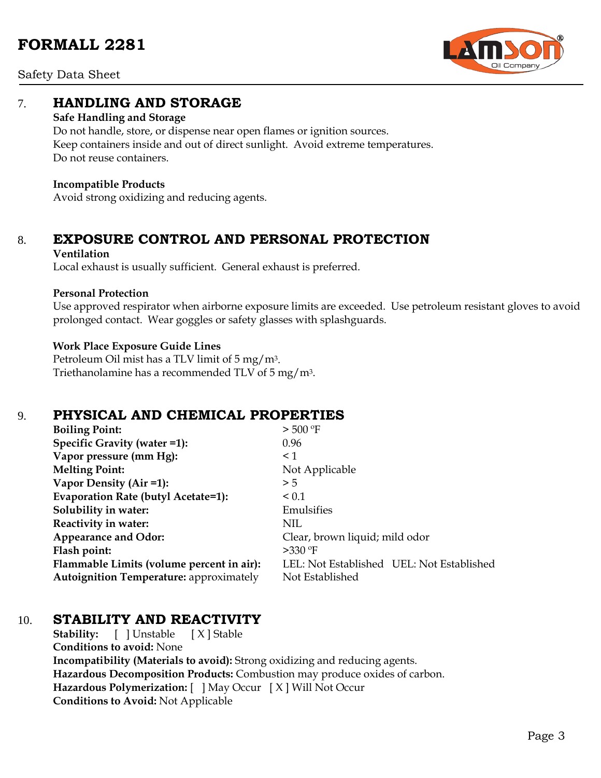

Safety Data Sheet

## 7. **HANDLING AND STORAGE**

### **Safe Handling and Storage**

Do not handle, store, or dispense near open flames or ignition sources. Keep containers inside and out of direct sunlight. Avoid extreme temperatures. Do not reuse containers.

### **Incompatible Products**

Avoid strong oxidizing and reducing agents.

# 8. **EXPOSURE CONTROL AND PERSONAL PROTECTION**

### **Ventilation**

Local exhaust is usually sufficient. General exhaust is preferred.

### **Personal Protection**

Use approved respirator when airborne exposure limits are exceeded. Use petroleum resistant gloves to avoid prolonged contact. Wear goggles or safety glasses with splashguards.

### **Work Place Exposure Guide Lines**

Petroleum Oil mist has a TLV limit of 5 mg/m3. Triethanolamine has a recommended TLV of 5 mg/m3.

# 9. **PHYSICAL AND CHEMICAL PROPERTIES**

| <b>Boiling Point:</b>                          | $>$ 500 °F                                |
|------------------------------------------------|-------------------------------------------|
| Specific Gravity (water =1):                   | 0.96                                      |
| Vapor pressure (mm Hg):                        | $\leq 1$                                  |
| <b>Melting Point:</b>                          | Not Applicable                            |
| Vapor Density (Air =1):                        | > 5                                       |
| Evaporation Rate (butyl Acetate=1):            | $\leq 0.1$                                |
| Solubility in water:                           | Emulsifies                                |
| Reactivity in water:                           | NIL                                       |
| <b>Appearance and Odor:</b>                    | Clear, brown liquid; mild odor            |
| Flash point:                                   | $>330$ °F                                 |
| Flammable Limits (volume percent in air):      | LEL: Not Established UEL: Not Established |
| <b>Autoignition Temperature:</b> approximately | Not Established                           |

## 10. **STABILITY AND REACTIVITY**

**Stability:** [ ] Unstable [ X ] Stable **Conditions to avoid:** None **Incompatibility (Materials to avoid):** Strong oxidizing and reducing agents. **Hazardous Decomposition Products:** Combustion may produce oxides of carbon. **Hazardous Polymerization:** [ ] May Occur [ X ] Will Not Occur **Conditions to Avoid:** Not Applicable